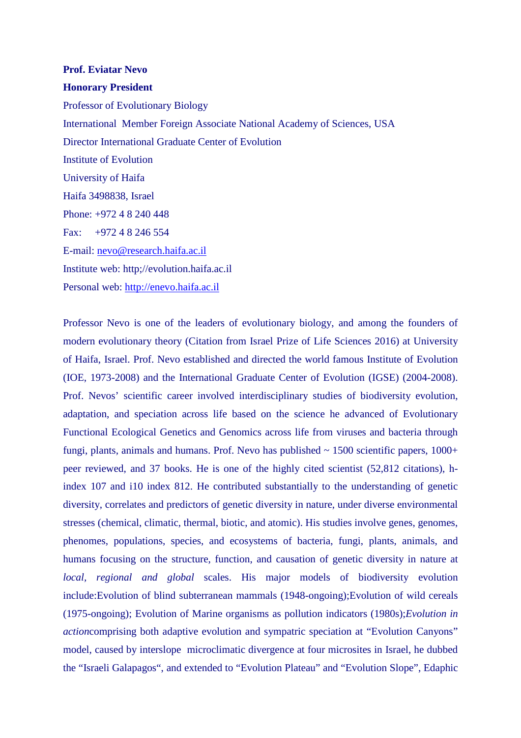## **Prof. Eviatar Nevo**

## **Honorary President**

Professor of Evolutionary Biology International Member Foreign Associate National Academy of Sciences, USA Director International Graduate Center of Evolution Institute of Evolution University of Haifa Haifa 3498838, Israel Phone: +972 4 8 240 448 Fax: +972 4 8 246 554 E-mail: nevo@research.haifa.ac.il Institute web: http;//evolution.haifa.ac.il Personal web: http://enevo.haifa.ac.il

Professor Nevo is one of the leaders of evolutionary biology, and among the founders of modern evolutionary theory (Citation from Israel Prize of Life Sciences 2016) at University of Haifa, Israel. Prof. Nevo established and directed the world famous Institute of Evolution (IOE, 1973-2008) and the International Graduate Center of Evolution (IGSE) (2004-2008). Prof. Nevos' scientific career involved interdisciplinary studies of biodiversity evolution, adaptation, and speciation across life based on the science he advanced of Evolutionary Functional Ecological Genetics and Genomics across life from viruses and bacteria through fungi, plants, animals and humans. Prof. Nevo has published  $\sim 1500$  scientific papers,  $1000+$ peer reviewed, and 37 books. He is one of the highly cited scientist (52,812 citations), hindex 107 and i10 index 812. He contributed substantially to the understanding of genetic diversity, correlates and predictors of genetic diversity in nature, under diverse environmental stresses (chemical, climatic, thermal, biotic, and atomic). His studies involve genes, genomes, phenomes, populations, species, and ecosystems of bacteria, fungi, plants, animals, and humans focusing on the structure, function, and causation of genetic diversity in nature at *local, regional and global* scales. His major models of biodiversity evolution include:Evolution of blind subterranean mammals (1948-ongoing);Evolution of wild cereals (1975-ongoing); Evolution of Marine organisms as pollution indicators (1980s);*Evolution in action*comprising both adaptive evolution and sympatric speciation at "Evolution Canyons" model, caused by interslope microclimatic divergence at four microsites in Israel, he dubbed the "Israeli Galapagos", and extended to "Evolution Plateau" and "Evolution Slope", Edaphic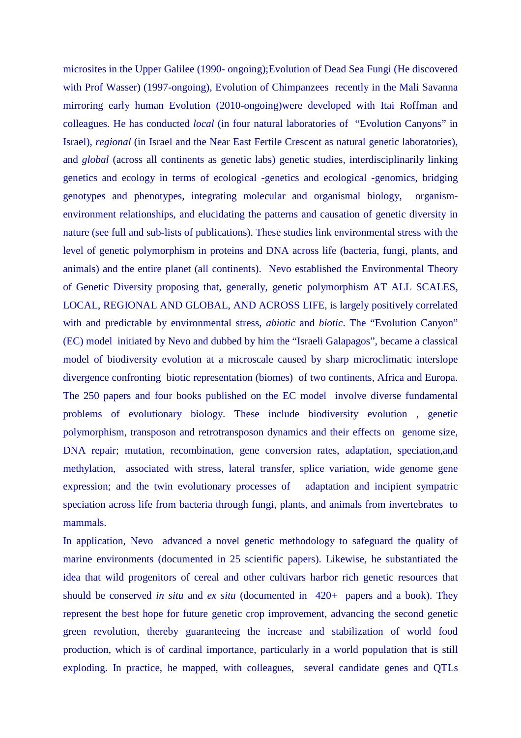microsites in the Upper Galilee (1990- ongoing);Evolution of Dead Sea Fungi (He discovered with Prof Wasser) (1997-ongoing), Evolution of Chimpanzees recently in the Mali Savanna mirroring early human Evolution (2010-ongoing)were developed with Itai Roffman and colleagues. He has conducted *local* (in four natural laboratories of "Evolution Canyons" in Israel), *regional* (in Israel and the Near East Fertile Crescent as natural genetic laboratories), and *global* (across all continents as genetic labs) genetic studies, interdisciplinarily linking genetics and ecology in terms of ecological -genetics and ecological -genomics, bridging genotypes and phenotypes, integrating molecular and organismal biology, organismenvironment relationships, and elucidating the patterns and causation of genetic diversity in nature (see full and sub-lists of publications). These studies link environmental stress with the level of genetic polymorphism in proteins and DNA across life (bacteria, fungi, plants, and animals) and the entire planet (all continents). Nevo established the Environmental Theory of Genetic Diversity proposing that, generally, genetic polymorphism AT ALL SCALES, LOCAL, REGIONAL AND GLOBAL, AND ACROSS LIFE, is largely positively correlated with and predictable by environmental stress, *abiotic* and *biotic*. The "Evolution Canyon" (EC) model initiated by Nevo and dubbed by him the "Israeli Galapagos", became a classical model of biodiversity evolution at a microscale caused by sharp microclimatic interslope divergence confronting biotic representation (biomes) of two continents, Africa and Europa. The 250 papers and four books published on the EC model involve diverse fundamental problems of evolutionary biology. These include biodiversity evolution , genetic polymorphism, transposon and retrotransposon dynamics and their effects on genome size, DNA repair; mutation, recombination, gene conversion rates, adaptation, speciation,and methylation, associated with stress, lateral transfer, splice variation, wide genome gene expression; and the twin evolutionary processes of adaptation and incipient sympatric speciation across life from bacteria through fungi, plants, and animals from invertebrates to mammals.

In application, Nevo advanced a novel genetic methodology to safeguard the quality of marine environments (documented in 25 scientific papers). Likewise, he substantiated the idea that wild progenitors of cereal and other cultivars harbor rich genetic resources that should be conserved *in situ* and *ex situ* (documented in 420+ papers and a book). They represent the best hope for future genetic crop improvement, advancing the second genetic green revolution, thereby guaranteeing the increase and stabilization of world food production, which is of cardinal importance, particularly in a world population that is still exploding. In practice, he mapped, with colleagues, several candidate genes and QTLs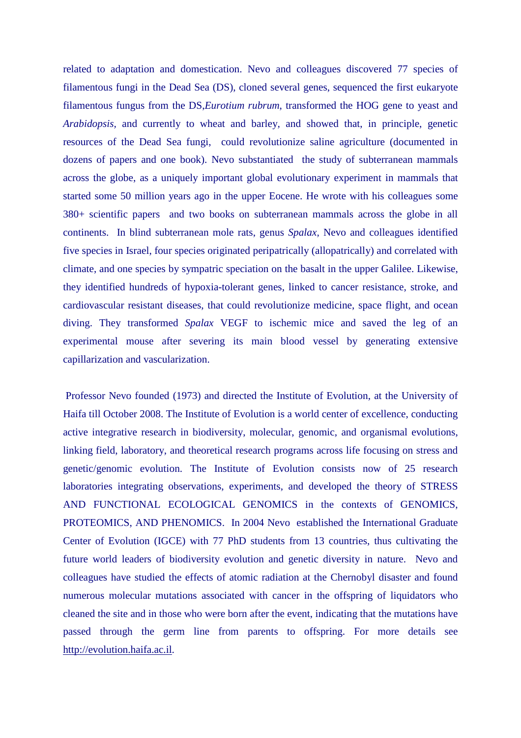related to adaptation and domestication. Nevo and colleagues discovered 77 species of filamentous fungi in the Dead Sea (DS), cloned several genes, sequenced the first eukaryote filamentous fungus from the DS,*Eurotium rubrum*, transformed the HOG gene to yeast and *Arabidopsis,* and currently to wheat and barley*,* and showed that, in principle, genetic resources of the Dead Sea fungi, could revolutionize saline agriculture (documented in dozens of papers and one book). Nevo substantiated the study of subterranean mammals across the globe, as a uniquely important global evolutionary experiment in mammals that started some 50 million years ago in the upper Eocene. He wrote with his colleagues some 380+ scientific papers and two books on subterranean mammals across the globe in all continents. In blind subterranean mole rats, genus *Spalax,* Nevo and colleagues identified five species in Israel, four species originated peripatrically (allopatrically) and correlated with climate, and one species by sympatric speciation on the basalt in the upper Galilee. Likewise, they identified hundreds of hypoxia-tolerant genes, linked to cancer resistance, stroke, and cardiovascular resistant diseases, that could revolutionize medicine, space flight, and ocean diving. They transformed *Spalax* VEGF to ischemic mice and saved the leg of an experimental mouse after severing its main blood vessel by generating extensive capillarization and vascularization.

 Professor Nevo founded (1973) and directed the Institute of Evolution, at the University of Haifa till October 2008. The Institute of Evolution is a world center of excellence, conducting active integrative research in biodiversity, molecular, genomic, and organismal evolutions, linking field, laboratory, and theoretical research programs across life focusing on stress and genetic/genomic evolution. The Institute of Evolution consists now of 25 research laboratories integrating observations, experiments, and developed the theory of STRESS AND FUNCTIONAL ECOLOGICAL GENOMICS in the contexts of GENOMICS, PROTEOMICS, AND PHENOMICS. In 2004 Nevo established the International Graduate Center of Evolution (IGCE) with 77 PhD students from 13 countries, thus cultivating the future world leaders of biodiversity evolution and genetic diversity in nature. Nevo and colleagues have studied the effects of atomic radiation at the Chernobyl disaster and found numerous molecular mutations associated with cancer in the offspring of liquidators who cleaned the site and in those who were born after the event, indicating that the mutations have passed through the germ line from parents to offspring. For more details see http://evolution.haifa.ac.il.